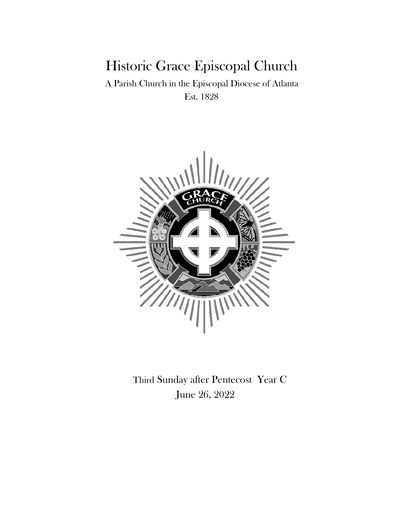# Historic Grace Episcopal Church

A Parish Church in the Episcopal Diocese of Atlanta Est. 1828



 Third Sunday after Pentecost Year C June 26, 2022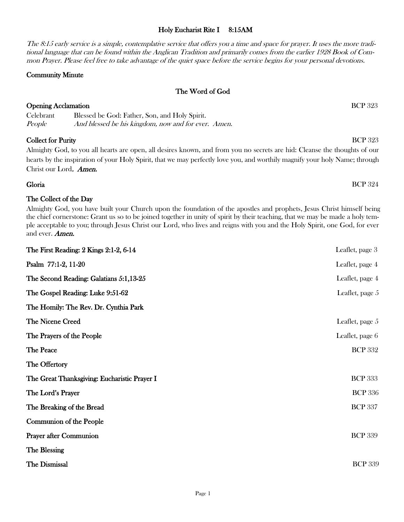#### Page 1

# Holy Eucharist Rite I 8:15AM

The 8:15 early service is a simple, contemplative service that offers you a time and space for prayer. It uses the more traditional language that can be found within the Anglican Tradition and primarily comes from the earlier 1928 Book of Common Prayer. Please feel free to take advantage of the quiet space before the service begins for your personal devotions.

### Community Minute

# The Word of God

# **Opening Acclamation** BCP 323

| Celebrant | Blessed be God: Father, Son, and Holy Spirit.       |
|-----------|-----------------------------------------------------|
| People    | And blessed be his kingdom, now and for ever. Amen. |

# **Collect for Purity BCP 323**

Almighty God, to you all hearts are open, all desires known, and from you no secrets are hid: Cleanse the thoughts of our hearts by the inspiration of your Holy Spirit, that we may perfectly love you, and worthily magnify your holy Name; through Christ our Lord. Amen.

# Gloria BCP 324

# The Collect of the Day

Almighty God, you have built your Church upon the foundation of the apostles and prophets, Jesus Christ himself being the chief cornerstone: Grant us so to be joined together in unity of spirit by their teaching, that we may be made a holy temple acceptable to you; through Jesus Christ our Lord, who lives and reigns with you and the Holy Spirit, one God, for ever and ever. Amen.

| The First Reading: 2 Kings 2:1-2, 6-14       | Leaflet, page 3 |
|----------------------------------------------|-----------------|
| Psalm 77:1-2, 11-20                          | Leaflet, page 4 |
| The Second Reading: Galatians 5:1,13-25      | Leaflet, page 4 |
| The Gospel Reading: Luke 9:51-62             | Leaflet, page 5 |
| The Homily: The Rev. Dr. Cynthia Park        |                 |
| The Nicene Creed                             | Leaflet, page 5 |
| The Prayers of the People                    | Leaflet, page 6 |
| The Peace                                    | <b>BCP 332</b>  |
| The Offertory                                |                 |
| The Great Thanksgiving: Eucharistic Prayer I | <b>BCP 333</b>  |
| The Lord's Prayer                            | <b>BCP 336</b>  |
| The Breaking of the Bread                    | <b>BCP 337</b>  |
| <b>Communion of the People</b>               |                 |
| <b>Prayer after Communion</b>                | <b>BCP 339</b>  |
| The Blessing                                 |                 |
| <b>The Dismissal</b>                         | <b>BCP 339</b>  |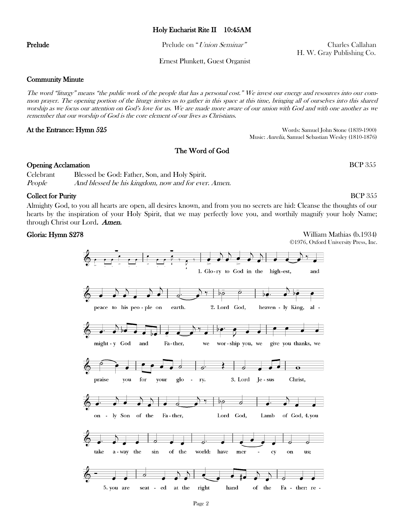# Holy Eucharist Rite II 10:45AM

Prelude Prelude Prelude on "*Union Seminar"* Charles Callahan

H. W. Gray Publishing Co.

Ernest Plunkett, Guest Organist

### Community Minute

The word "liturgy" means "the public work of the people that has a personal cost." We invest our energy and resources into our common prayer. The opening portion of the liturgy invites us to gather in this space at this time, bringing all of ourselves into this shared worship as we focus our attention on God's love for us. We are made more aware of our union with God and with one another as we remember that our worship of God is the core element of our lives as Christians.

At the Entrance: Hymn 525 Words: Samuel John Stone (1839-1900) Music: Aurelia, Samuel Sebastian Wesley (1810-1876)

# The Word of God

#### **Opening Acclamation** BCP 355

| Celebrant | Blessed be God: Father, Son, and Holy Spirit.       |
|-----------|-----------------------------------------------------|
| People    | And blessed be his kingdom, now and for ever. Amen. |

#### **Collect for Purity BCP 355**

Almighty God, to you all hearts are open, all desires known, and from you no secrets are hid: Cleanse the thoughts of our hearts by the inspiration of your Holy Spirit, that we may perfectly love you, and worthily magnify your holy Name; through Christ our Lord. **Amen.** 

Gloria: Hymn S278 William Mathias (b.1934) ©1976, Oxford University Press, Inc.

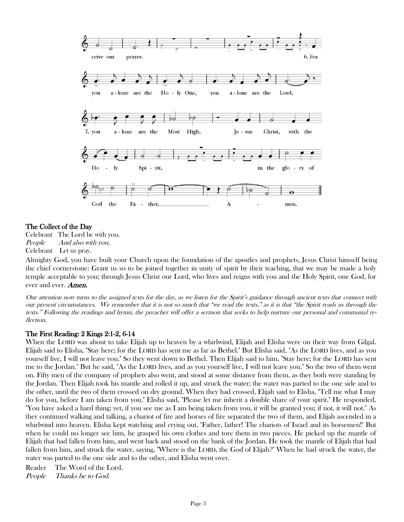

### The Collect of the Day

Celebrant The Lord be with you. People And also with you. Celebrant Let us pray.

Almighty God, you have built your Church upon the foundation of the apostles and prophets, Jesus Christ himself being the chief cornerstone: Grant us so to be joined together in unity of spirit by their teaching, that we may be made a holy temple acceptable to you; through Jesus Christ our Lord, who lives and reigns with you and the Holy Spirit, one God, for ever and ever. **Amen.** 

Our attention now turns to the assigned texts for the day, as we listen for the Spirit's guidance through ancient texts that connect with our present circumstances. We remember that it is not so much that "we read the texts," as it is that "the Spirit reads us through the texts." Following the readings and hymn, the preacher will offer a sermon that seeks to help nurture our personal and communal reflection.

### The First Reading: 2 Kings 2:1-2, 6-14

When the LORD was about to take Elijah up to heaven by a whirlwind, Elijah and Elisha were on their way from Gilgal. Elijah said to Elisha, "Stay here; for the LORD has sent me as far as Bethel." But Elisha said, "As the LORD lives, and as you yourself live, I will not leave you." So they went down to Bethel. Then Elijah said to him, "Stay here; for the LORD has sent me to the Jordan." But he said, "As the LORD lives, and as you yourself live, I will not leave you." So the two of them went on. Fifty men of the company of prophets also went, and stood at some distance from them, as they both were standing by the Jordan. Then Elijah took his mantle and rolled it up, and struck the water; the water was parted to the one side and to the other, until the two of them crossed on dry ground. When they had crossed, Elijah said to Elisha, "Tell me what I may do for you, before I am taken from you." Elisha said, "Please let me inherit a double share of your spirit." He responded, "You have asked a hard thing; yet, if you see me as I am being taken from you, it will be granted you; if not, it will not." As they continued walking and talking, a chariot of fire and horses of fire separated the two of them, and Elijah ascended in a whirlwind into heaven. Elisha kept watching and crying out, "Father, father! The chariots of Israel and its horsemen!" But when he could no longer see him, he grasped his own clothes and tore them in two pieces. He picked up the mantle of Elijah that had fallen from him, and went back and stood on the bank of the Jordan. He took the mantle of Elijah that had fallen from him, and struck the water, saying, "Where is the LORD, the God of Elijah?" When he had struck the water, the water was parted to the one side and to the other, and Elisha went over.

Reader The Word of the Lord. People Thanks be to God.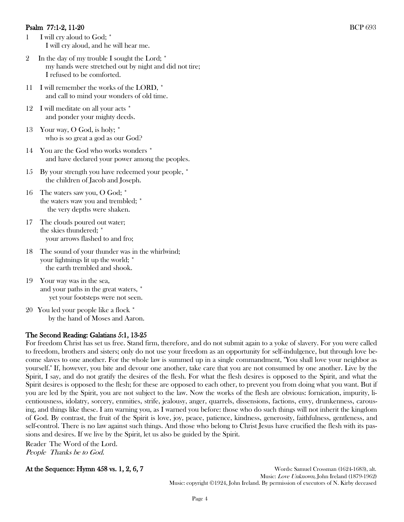# **Psalm 77:1-2, 11-20** BCP 693

- 1 I will cry aloud to God; \* I will cry aloud, and he will hear me.
- 2 In the day of my trouble I sought the Lord; \* my hands were stretched out by night and did not tire; I refused to be comforted.
- 11 I will remember the works of the LORD, \* and call to mind your wonders of old time.
- 12 I will meditate on all your acts \* and ponder your mighty deeds.
- 13 Your way, O God, is holy; \* who is so great a god as our God?
- 14 You are the God who works wonders \* and have declared your power among the peoples.
- 15 By your strength you have redeemed your people, \* the children of Jacob and Joseph.
- 16 The waters saw you, O God; \* the waters waw you and trembled; \* the very depths were shaken.
- 17 The clouds poured out water; the skies thundered; \* your arrows flashed to and fro;
- 18 The sound of your thunder was in the whirlwind; your lightnings lit up the world; \* the earth trembled and shook.
- 19 Your way was in the sea, and your paths in the great waters, \* yet your footsteps were not seen.
- 20 You led your people like a flock \* by the hand of Moses and Aaron.

# The Second Reading: Galatians 5:1, 13-25

For freedom Christ has set us free. Stand firm, therefore, and do not submit again to a yoke of slavery. For you were called to freedom, brothers and sisters; only do not use your freedom as an opportunity for self-indulgence, but through love become slaves to one another. For the whole law is summed up in a single commandment, "You shall love your neighbor as yourself." If, however, you bite and devour one another, take care that you are not consumed by one another. Live by the Spirit, I say, and do not gratify the desires of the flesh. For what the flesh desires is opposed to the Spirit, and what the Spirit desires is opposed to the flesh; for these are opposed to each other, to prevent you from doing what you want. But if you are led by the Spirit, you are not subject to the law. Now the works of the flesh are obvious: fornication, impurity, licentiousness, idolatry, sorcery, enmities, strife, jealousy, anger, quarrels, dissensions, factions, envy, drunkenness, carousing, and things like these. I am warning you, as I warned you before: those who do such things will not inherit the kingdom of God. By contrast, the fruit of the Spirit is love, joy, peace, patience, kindness, generosity, faithfulness, gentleness, and self-control. There is no law against such things. And those who belong to Christ Jesus have crucified the flesh with its passions and desires. If we live by the Spirit, let us also be guided by the Spirit.

Reader The Word of the Lord. People Thanks be to God.

At the Sequence: Hymn 458 vs. 1, 2, 6, 7 Words: Samuel Crossman (1624-1683), alt. Music: Love Unknown, John Ireland (1879-1962) Music: copyright ©1924, John Ireland. By permission of executors of N. Kirby deceased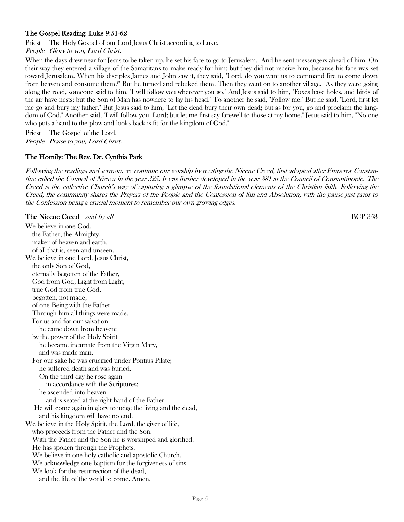### The Gospel Reading: Luke 9:51-62

Priest The Holy Gospel of our Lord Jesus Christ according to Luke. People Glory to you, Lord Christ.

When the days drew near for Jesus to be taken up, he set his face to go to Jerusalem. And he sent messengers ahead of him. On their way they entered a village of the Samaritans to make ready for him; but they did not receive him, because his face was set toward Jerusalem. When his disciples James and John saw it, they said, "Lord, do you want us to command fire to come down from heaven and consume them?" But he turned and rebuked them. Then they went on to another village. As they were going along the road, someone said to him, "I will follow you wherever you go." And Jesus said to him, "Foxes have holes, and birds of the air have nests; but the Son of Man has nowhere to lay his head." To another he said, "Follow me." But he said, "Lord, first let me go and bury my father." But Jesus said to him, "Let the dead bury their own dead; but as for you, go and proclaim the kingdom of God." Another said, "I will follow you, Lord; but let me first say farewell to those at my home." Jesus said to him, "No one who puts a hand to the plow and looks back is fit for the kingdom of God."

Priest The Gospel of the Lord.

People Praise to you, Lord Christ.

### The Homily: The Rev. Dr. Cynthia Park

Following the readings and sermon, we continue our worship by reciting the Nicene Creed, first adopted after Emperor Constantine called the Council of Nicaea in the year 325. It was further developed in the year 381 at the Council of Constantinople. The Creed is the collective Church's way of capturing a glimpse of the foundational elements of the Christian faith. Following th<sup>e</sup> Creed, the community shares the Prayers of the People and the Confession of Sin and Absolution, with the pause just prior to the Confession being a crucial moment to remember our own growing edges.

#### The Nicene Creed *said by all* BCP 358

We believe in one God, the Father, the Almighty, maker of heaven and earth, of all that is, seen and unseen. We believe in one Lord, Jesus Christ, the only Son of God, eternally begotten of the Father, God from God, Light from Light, true God from true God, begotten, not made, of one Being with the Father. Through him all things were made. For us and for our salvation he came down from heaven: by the power of the Holy Spirit he became incarnate from the Virgin Mary, and was made man. For our sake he was crucified under Pontius Pilate; he suffered death and was buried. On the third day he rose again in accordance with the Scriptures; he ascended into heaven and is seated at the right hand of the Father. He will come again in glory to judge the living and the dead, and his kingdom will have no end. We believe in the Holy Spirit, the Lord, the giver of life, who proceeds from the Father and the Son. With the Father and the Son he is worshiped and glorified. He has spoken through the Prophets. We believe in one holy catholic and apostolic Church. We acknowledge one baptism for the forgiveness of sins. We look for the resurrection of the dead, and the life of the world to come. Amen.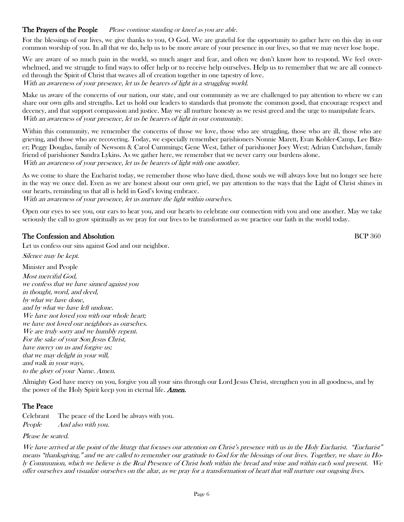# The Prayers of the People Please continue standing or kneel as you are able.

For the blessings of our lives, we give thanks to you, O God. We are grateful for the opportunity to gather here on this day in our common worship of you. In all that we do, help us to be more aware of your presence in our lives, so that we may never lose hope.

We are aware of so much pain in the world, so much anger and fear, and often we don't know how to respond. We feel overwhelmed, and we struggle to find ways to offer help or to receive help ourselves. Help us to remember that we are all connected through the Spirit of Christ that weaves all of creation together in one tapestry of love. With an awareness of your presence, let us be bearers of light in a struggling world.

Make us aware of the concerns of our nation, our state, and our community as we are challenged to pay attention to where we can share our own gifts and strengths. Let us hold our leaders to standards that promote the common good, that encourage respect and decency, and that support compassion and justice. May we all nurture honesty as we resist greed and the urge to manipulate fears. With an awareness of your presence, let us be bearers of light in our community.

Within this community, we remember the concerns of those we love, those who are struggling, those who are ill, those who are grieving, and those who are recovering. Today, we especially remember parishioners Nonnie Marett, Evan Kohler-Camp, Lee Bitzer; Peggy Douglas, family of Newsom & Carol Cummings; Gene West, father of parishioner Joey West; Adrian Cutchshaw, family friend of parishioner Sandra Lykins. As we gather here, we remember that we never carry our burdens alone. With an awareness of your presence, let us be bearers of light with one another.

As we come to share the Eucharist today, we remember those who have died, those souls we will always love but no longer see here in the way we once did. Even as we are honest about our own grief, we pay attention to the ways that the Light of Christ shines in our hearts, reminding us that all is held in God's loving embrace.

With an awareness of your presence, let us nurture the light within ourselves.

Open our eyes to see you, our ears to hear you, and our hearts to celebrate our connection with you and one another. May we take seriously the call to grow spiritually as we pray for our lives to be transformed as we practice our faith in the world today.

# The Confession and Absolution BCP 360

Let us confess our sins against God and our neighbor.

Silence may be kept.

Minister and People Most merciful God, we confess that we have sinned against you in thought, word, and deed, by what we have done, and by what we have left undone. We have not loved you with our whole heart; we have not loved our neighbors as ourselves. We are truly sorry and we humbly repent. For the sake of your Son Jesus Christ, have mercy on us and forgive us; that we may delight in your will, and walk in your ways, to the glory of your Name. Amen.

Almighty God have mercy on you, forgive you all your sins through our Lord Jesus Christ, strengthen you in all goodness, and by the power of the Holy Spirit keep you in eternal life. **Amen.** 

# The Peace

Celebrant The peace of the Lord be always with you. People And also with you.

### Please be seated.

We have arrived at the point of the liturgy that focuses our attention on Christ's presence with us in the Holy Eucharist. "Eucharist" means "thanksgiving," and we are called to remember our gratitude to God for the blessings of our lives. Together, we share in Holy Communion, which we believe is the Real Presence of Christ both within the bread and wine and within each soul present. We offer ourselves and visualize ourselves on the altar, as we pray for a transformation of heart that will nurture our ongoing lives.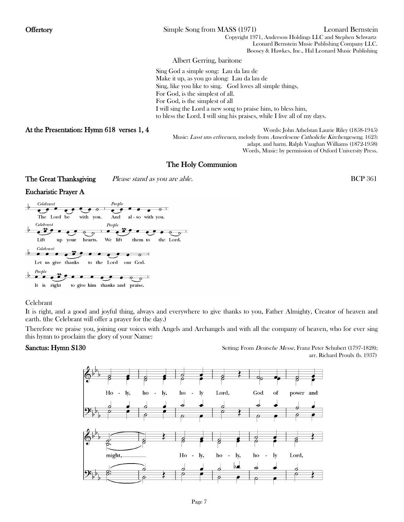Offertory **Simple Song from MASS (1971)** Leonard Bernstein Copyright 1971, Anderson Holdings LLC and Stephen Schwartz Leonard Bernstein Music Publishing Company LLC. Boosey & Hawkes, Inc., Hal Leonard Music Publishing

Albert Gerring, baritone

Sing God a simple song: Lau da lau de Make it up, as you go along: Lau da lau de Sing, like you like to sing. God loves all simple things, For God, is the simplest of all. For God, is the simplest of all I will sing the Lord a new song to praise him, to bless him, to bless the Lord. I will sing his praises, while I live all of my days.

At the Presentation: Hymn 618 verses 1, 4 Words: John Athelstan Laurie Riley (1858-1945) Music: Lasst uns erfreeuen, melody from Auserlesene Catholiche Kirchengeseng, 1623: adapt. and harm. Ralph Vaughan Williams (1872-1958) Words, Music: by permission of Oxford University Press.

## The Holy Communion

The Great Thanksgiving Please stand as you are able. BCP 361

Eucharistic Prayer A



Celebrant

It is right, and a good and joyful thing, always and everywhere to give thanks to you, Father Almighty, Creator of heaven and earth. (the Celebrant will offer a prayer for the day.)

Therefore we praise you, joining our voices with Angels and Archangels and with all the company of heaven, who for ever sing this hymn to proclaim the glory of your Name:

Sanctus: Hymn S130 Setting: From Deutsche Messe, Franz Peter Schubert (1797-1828); arr. Richard Proulx (b. 1937)

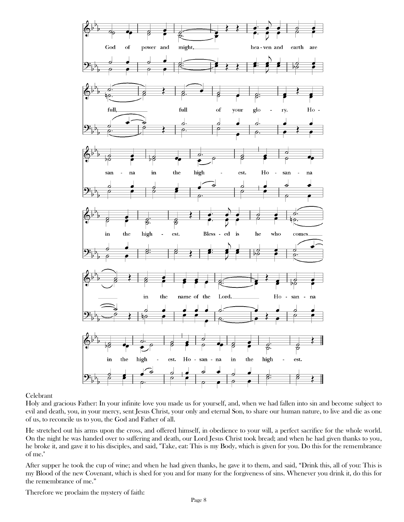

#### Celebrant

Holy and gracious Father: In your infinite love you made us for yourself, and, when we had fallen into sin and become subject to evil and death, you, in your mercy, sent Jesus Christ, your only and eternal Son, to share our human nature, to live and die as one of us, to reconcile us to you, the God and Father of all.

He stretched out his arms upon the cross, and offered himself, in obedience to your will, a perfect sacrifice for the whole world. On the night he was handed over to suffering and death, our Lord Jesus Christ took bread; and when he had given thanks to you, he broke it, and gave it to his disciples, and said, "Take, eat: This is my Body, which is given for you. Do this for the remembrance of me."

After supper he took the cup of wine; and when he had given thanks, he gave it to them, and said, "Drink this, all of you: This is my Blood of the new Covenant, which is shed for you and for many for the forgiveness of sins. Whenever you drink it, do this for the remembrance of me."

Therefore we proclaim the mystery of faith: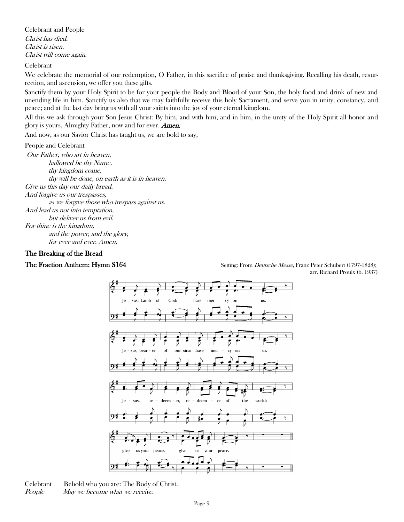Celebrant and People Christ has died. Christ is risen. Christ will come again.

Celebrant

We celebrate the memorial of our redemption, O Father, in this sacrifice of praise and thanksgiving. Recalling his death, resurrection, and ascension, we offer you these gifts.

Sanctify them by your Holy Spirit to be for your people the Body and Blood of your Son, the holy food and drink of new and unending life in him. Sanctify us also that we may faithfully receive this holy Sacrament, and serve you in unity, constancy, and peace; and at the last day bring us with all your saints into the joy of your eternal kingdom.

All this we ask through your Son Jesus Christ: By him, and with him, and in him, in the unity of the Holy Spirit all honor and glory is yours, Almighty Father, now and for ever. Amen.

And now, as our Savior Christ has taught us, we are bold to say,

People and Celebrant

Our Father, who art in heaven, hallowed be thy Name, thy kingdom come, thy will be done, on earth as it is in heaven. Give us this day our daily bread. And forgive us our trespasses, as we forgive those who trespass against us. And lead us not into temptation, but deliver us from evil. For thine is the kingdom, and the power, and the glory, for ever and ever. Amen.

#### The Breaking of the Bread

The Fraction Anthem: Hymn S164 Setting: From *Deutsche Messe*, Franz Peter Schubert (1797-1828); arr. Richard Proulx (b. 1937)



Celebrant Behold who you are: The Body of Christ. People May we become what we receive.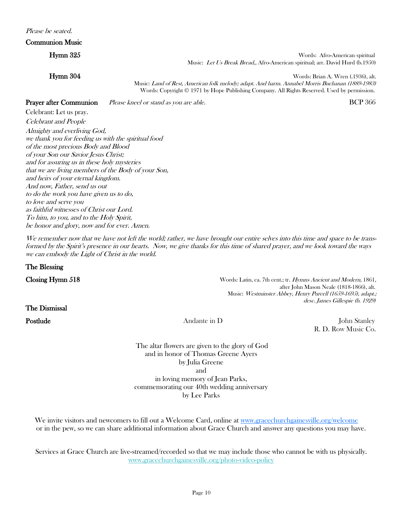#### Please be seated.

#### Communion Music

 Hymn 325 Words: Afro-American spiritual Music: Let Us Break Bread,, Afro-American spiritual; arr. David Hurd (b.1950)

 Hymn 304 Words: Brian A. Wren (.1936), alt. Music: Land of Rest, American folk melody; adapt. And harm. Annabel Morris Buchanan (1889-1983) Words: Copyright © 1971 by Hope Publishing Company. All Rights Reserved. Used by permission.

**Prayer after Communion** Please kneel or stand as you are able. BCP 366

Celebrant: Let us pray. Celebrant and People Almighty and everliving God, we thank you for feeding us with the spiritual food of the most precious Body and Blood of your Son our Savior Jesus Christ; and for assuring us in these holy mysteries that we are living members of the Body of your Son, and heirs of your eternal kingdom. And now, Father, send us out to do the work you have given us to do, to love and serve you as faithful witnesses of Christ our Lord. To him, to you, and to the Holy Spirit, be honor and glory, now and for ever. Amen.

We remember now that we have not left the world; rather, we have brought our entire selves into this time and space to be transformed by the Spirit's presence in our hearts. Now, we give thanks for this time of shared prayer, and we look toward the ways we can embody the Light of Christ in the world.

### The Blessing

The Dismissal

Closing Hymn 518 Words: Latin, ca. 7th cent.; tr. *Hymns Ancient and Modern*, 1861, after John Mason Neale (1818-1866), alt. Music: Westminster Abbey, Henry Purcell (1659-1695), adapt.; desc. James Gillespie (b. 1929)

Postlude **Andante in D** John Stanley R. D. Row Music Co.

> The altar flowers are given to the glory of God and in honor of Thomas Greene Ayers by Julia Greene and in loving memory of Jean Parks, commemorating our 40th wedding anniversary by Lee Parks

We invite visitors and newcomers to fill out a Welcome Card, online at [www.gracechurchgainesville.org/welcome](http://www.gracechurchgainesville.org/welcome) or in the pew, so we can share additional information about Grace Church and answer any questions you may have.

Services at Grace Church are live-streamed/recorded so that we may include those who cannot be with us physically. [www.gracechurchgainesville.org/photo-video-policy](http://www.gracechurchgainesville.org/photo-video-policy)